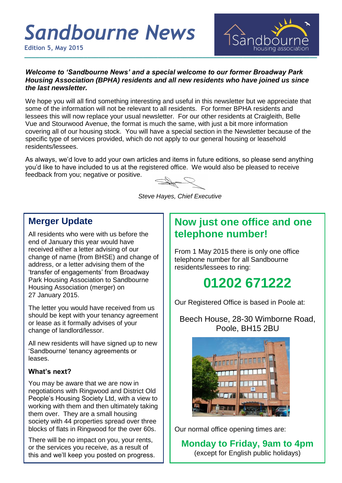# *Sandbourne News*

**Edition 5, May 2015**



#### *Welcome to 'Sandbourne News' and a special welcome to our former Broadway Park Housing Association (BPHA) residents and all new residents who have joined us since the last newsletter.*

We hope you will all find something interesting and useful in this newsletter but we appreciate that some of the information will not be relevant to all residents. For former BPHA residents and lessees this will now replace your usual newsletter. For our other residents at Craigleith, Belle Vue and Stourwood Avenue, the format is much the same, with just a bit more information covering all of our housing stock. You will have a special section in the Newsletter because of the specific type of services provided, which do not apply to our general housing or leasehold residents/lessees.

As always, we'd love to add your own articles and items in future editions, so please send anything you'd like to have included to us at the registered office. We would also be pleased to receive feedback from you; negative or positive.

*Steve Hayes, Chief Executive*

# **Merger Update**

All residents who were with us before the end of January this year would have received either a letter advising of our change of name (from BHSE) and change of address, or a letter advising them of the 'transfer of engagements' from Broadway Park Housing Association to Sandbourne Housing Association (merger) on 27 January 2015.

The letter you would have received from us should be kept with your tenancy agreement or lease as it formally advises of your change of landlord/lessor.

All new residents will have signed up to new 'Sandbourne' tenancy agreements or leases.

#### **What's next?**

You may be aware that we are now in negotiations with Ringwood and District Old People's Housing Society Ltd, with a view to working with them and then ultimately taking them over. They are a small housing society with 44 properties spread over three blocks of flats in Ringwood for the over 60s.

There will be no impact on you, your rents, or the services you receive, as a result of this and we'll keep you posted on progress.

# **Now just one office and one telephone number!**

From 1 May 2015 there is only one office telephone number for all Sandbourne residents/lessees to ring:

# **01202 671222**

Our Registered Office is based in Poole at:

Beech House, 28-30 Wimborne Road, Poole, BH15 2BU



Our normal office opening times are:

**Monday to Friday, 9am to 4pm** (except for English public holidays)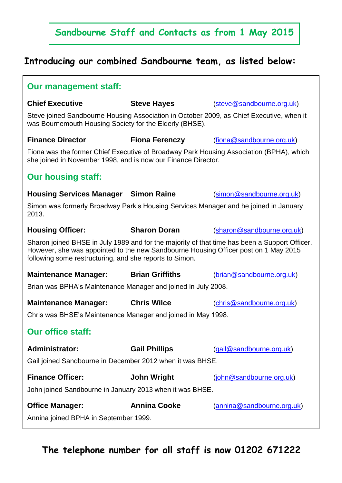# **Sandbourne Staff and Contacts as from 1 May 2015**

# **Introducing our combined Sandbourne team, as listed below:**

| <b>Our management staff:</b>                                                                                                                                                                                                                    |                        |                            |
|-------------------------------------------------------------------------------------------------------------------------------------------------------------------------------------------------------------------------------------------------|------------------------|----------------------------|
| <b>Chief Executive</b>                                                                                                                                                                                                                          | <b>Steve Hayes</b>     | (steve@sandbourne.org.uk)  |
| Steve joined Sandbourne Housing Association in October 2009, as Chief Executive, when it<br>was Bournemouth Housing Society for the Elderly (BHSE).                                                                                             |                        |                            |
| <b>Finance Director</b>                                                                                                                                                                                                                         | <b>Fiona Ferenczy</b>  | (fiona@sandbourne.org.uk)  |
| Fiona was the former Chief Executive of Broadway Park Housing Association (BPHA), which<br>she joined in November 1998, and is now our Finance Director.                                                                                        |                        |                            |
| <b>Our housing staff:</b>                                                                                                                                                                                                                       |                        |                            |
| <b>Housing Services Manager Simon Raine</b>                                                                                                                                                                                                     |                        | (simon@sandbourne.org.uk)  |
| Simon was formerly Broadway Park's Housing Services Manager and he joined in January<br>2013.                                                                                                                                                   |                        |                            |
| <b>Housing Officer:</b>                                                                                                                                                                                                                         | <b>Sharon Doran</b>    | (sharon@sandbourne.org.uk) |
| Sharon joined BHSE in July 1989 and for the majority of that time has been a Support Officer.<br>However, she was appointed to the new Sandbourne Housing Officer post on 1 May 2015<br>following some restructuring, and she reports to Simon. |                        |                            |
| <b>Maintenance Manager:</b>                                                                                                                                                                                                                     | <b>Brian Griffiths</b> | (brian@sandbourne.org.uk)  |
| Brian was BPHA's Maintenance Manager and joined in July 2008.                                                                                                                                                                                   |                        |                            |
| <b>Maintenance Manager:</b>                                                                                                                                                                                                                     | <b>Chris Wilce</b>     | (chris@sandbourne.org.uk)  |
| Chris was BHSE's Maintenance Manager and joined in May 1998.                                                                                                                                                                                    |                        |                            |
| <b>Our office staff:</b>                                                                                                                                                                                                                        |                        |                            |
| <b>Administrator:</b>                                                                                                                                                                                                                           | <b>Gail Phillips</b>   | (gail@sandbourne.org.uk)   |
| Gail joined Sandbourne in December 2012 when it was BHSE.                                                                                                                                                                                       |                        |                            |
| <b>Finance Officer:</b>                                                                                                                                                                                                                         | <b>John Wright</b>     | (john@sandbourne.org.uk)   |
| John joined Sandbourne in January 2013 when it was BHSE.                                                                                                                                                                                        |                        |                            |
| <b>Office Manager:</b>                                                                                                                                                                                                                          | <b>Annina Cooke</b>    | (annina@sandbourne.org.uk) |
| Annina joined BPHA in September 1999.                                                                                                                                                                                                           |                        |                            |

# **The telephone number for all staff is now 01202 671222**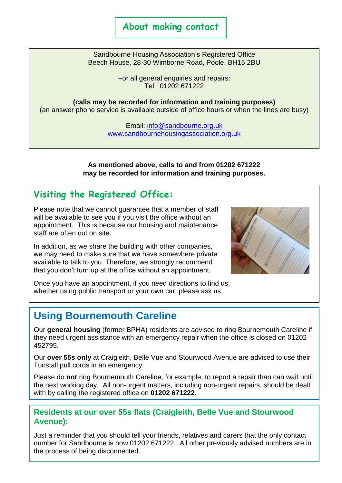## **About making contact**

Sandbourne Housing Association's Registered Office Beech House, 28-30 Wimborne Road, Poole, BH15 2BU

> For all general enquiries and repairs: Tel: 01202 671222

**(calls may be recorded for information and training purposes)** (an answer phone service is available outside of office hours or when the lines are busy)

> Email: [info@sandbourne.org.uk](mailto:info@sandbourne.org.uk) [www.sandbournehousingassociation.org.uk](http://www.sandbournehousingassociation.org.uk/)

**As mentioned above, calls to and from 01202 671222 may be recorded for information and training purposes.**

# **Visiting the Registered Office:**

Please note that we cannot guarantee that a member of staff will be available to see you if you visit the office without an appointment. This is because our housing and maintenance staff are often out on site.

In addition, as we share the building with other companies, we may need to make sure that we have somewhere private available to talk to you. Therefore, we strongly recommend that you don't turn up at the office without an appointment.



Once you have an appointment, if you need directions to find us, whether using public transport or your own car, please ask us.

# **Using Bournemouth Careline**

Our **general housing** (former BPHA) residents are advised to ring Bournemouth Careline if they need urgent assistance with an emergency repair when the office is closed on 01202 452795.

Our **over 55s only** at Craigleith, Belle Vue and Stourwood Avenue are advised to use their Tunstall pull cords in an emergency.

Please do **not** ring Bournemouth Careline, for example, to report a repair than can wait until the next working day. All non-urgent matters, including non-urgent repairs, should be dealt with by calling the registered office on **01202 671222.**

#### **Residents at our over 55s flats (Craigleith, Belle Vue and Stourwood Avenue):**

Just a reminder that you should tell your friends, relatives and carers that the only contact number for Sandbourne is now 01202 671222. All other previously advised numbers are in the process of being disconnected.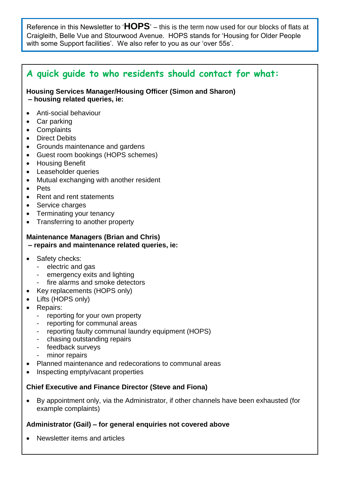Reference in this Newsletter to '**HOPS**' – this is the term now used for our blocks of flats at Craigleith, Belle Vue and Stourwood Avenue. HOPS stands for 'Housing for Older People with some Support facilities'. We also refer to you as our 'over 55s'.

# **A quick guide to who residents should contact for what:**

**Housing Services Manager/Housing Officer (Simon and Sharon) – housing related queries, ie:** 

- Anti-social behaviour
- Car parking
- Complaints
- Direct Debits
- Grounds maintenance and gardens
- Guest room bookings (HOPS schemes)
- **•** Housing Benefit
- Leaseholder queries
- Mutual exchanging with another resident
- Pets
- Rent and rent statements
- Service charges
- Terminating your tenancy
- Transferring to another property

#### **Maintenance Managers (Brian and Chris)**

- **– repairs and maintenance related queries, ie:**
- Safety checks:
	- electric and gas
	- emergency exits and lighting
	- fire alarms and smoke detectors
	- Key replacements (HOPS only)
- Lifts (HOPS only)
- Repairs:
	- reporting for your own property
	- reporting for communal areas
	- reporting faulty communal laundry equipment (HOPS)
	- chasing outstanding repairs
	- feedback surveys
	- minor repairs
- Planned maintenance and redecorations to communal areas
- Inspecting empty/vacant properties

#### **Chief Executive and Finance Director (Steve and Fiona)**

 By appointment only, via the Administrator, if other channels have been exhausted (for example complaints)

#### **Administrator (Gail) – for general enquiries not covered above**

Newsletter items and articles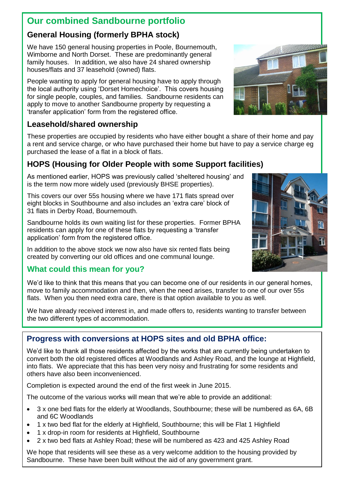# **Our combined Sandbourne portfolio**

#### **General Housing (formerly BPHA stock)**

We have 150 general housing properties in Poole, Bournemouth, Wimborne and North Dorset. These are predominantly general family houses. In addition, we also have 24 shared ownership houses/flats and 37 leasehold (owned) flats.

People wanting to apply for general housing have to apply through the local authority using 'Dorset Homechoice'. This covers housing for single people, couples, and families. Sandbourne residents can apply to move to another Sandbourne property by requesting a 'transfer application' form from the registered office.

#### **Leasehold/shared ownership**

These properties are occupied by residents who have either bought a share of their home and pay a rent and service charge, or who have purchased their home but have to pay a service charge eg purchased the lease of a flat in a block of flats.

# **HOPS (Housing for Older People with some Support facilities)**

As mentioned earlier, HOPS was previously called 'sheltered housing' and is the term now more widely used (previously BHSE properties).

This covers our over 55s housing where we have 171 flats spread over eight blocks in Southbourne and also includes an 'extra care' block of 31 flats in Derby Road, Bournemouth.

Sandbourne holds its own waiting list for these properties. Former BPHA residents can apply for one of these flats by requesting a 'transfer application' form from the registered office.

In addition to the above stock we now also have six rented flats being created by converting our old offices and one communal lounge.

#### **What could this mean for you?**

We'd like to think that this means that you can become one of our residents in our general homes, move to family accommodation and then, when the need arises, transfer to one of our over 55s flats. When you then need extra care, there is that option available to you as well.

We have already received interest in, and made offers to, residents wanting to transfer between the two different types of accommodation.

## **Progress with conversions at HOPS sites and old BPHA office:**

We'd like to thank all those residents affected by the works that are currently being undertaken to convert both the old registered offices at Woodlands and Ashley Road, and the lounge at Highfield, into flats. We appreciate that this has been very noisy and frustrating for some residents and others have also been inconvenienced.

Completion is expected around the end of the first week in June 2015.

The outcome of the various works will mean that we're able to provide an additional:

- 3 x one bed flats for the elderly at Woodlands, Southbourne; these will be numbered as 6A, 6B and 6C Woodlands
- 1 x two bed flat for the elderly at Highfield, Southbourne; this will be Flat 1 Highfield
- 1 x drop-in room for residents at Highfield, Southbourne
- 2 x two bed flats at Ashley Road; these will be numbered as 423 and 425 Ashley Road

We hope that residents will see these as a very welcome addition to the housing provided by Sandbourne. These have been built without the aid of any government grant.



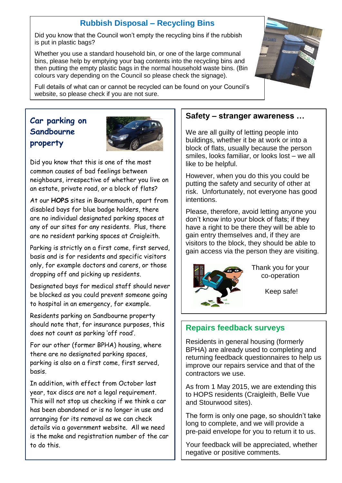## **Rubbish Disposal – Recycling Bins**

Did you know that the Council won't empty the recycling bins if the rubbish is put in plastic bags?

Whether you use a standard household bin, or one of the large communal bins, please help by emptying your bag contents into the recycling bins and then putting the empty plastic bags in the normal household waste bins. (Bin colours vary depending on the Council so please check the signage).



Full details of what can or cannot be recycled can be found on your Council's website, so please check if you are not sure.

# **Car parking on Sandbourne property**



Did you know that this is one of the most common causes of bad feelings between neighbours, irrespective of whether you live on an estate, private road, or a block of flats?

At our **HOPS** sites in Bournemouth, apart from disabled bays for blue badge holders, there are no individual designated parking spaces at any of our sites for any residents. Plus, there are no resident parking spaces at Craigleith.

Parking is strictly on a first come, first served, basis and is for residents and specific visitors only, for example doctors and carers, or those dropping off and picking up residents.

Designated bays for medical staff should never be blocked as you could prevent someone going to hospital in an emergency, for example.

Residents parking on Sandbourne property should note that, for insurance purposes, this does not count as parking 'off road'.

For our other (former BPHA) housing, where there are no designated parking spaces, parking is also on a first come, first served, basis.

In addition, with effect from October last year, tax discs are not a legal requirement. This will not stop us checking if we think a car has been abandoned or is no longer in use and arranging for its removal as we can check details via a government website. All we need is the make and registration number of the car to do this.

#### **Safety – stranger awareness …**

We are all guilty of letting people into buildings, whether it be at work or into a block of flats, usually because the person smiles, looks familiar, or looks lost – we all like to be helpful.

However, when you do this you could be putting the safety and security of other at risk. Unfortunately, not everyone has good intentions.

Please, therefore, avoid letting anyone you don't know into your block of flats; if they have a right to be there they will be able to gain entry themselves and, if they are visitors to the block, they should be able to gain access via the person they are visiting.



 Thank you for your co-operation

Keep safe!

#### **Repairs feedback surveys**

Residents in general housing (formerly BPHA) are already used to completing and returning feedback questionnaires to help us improve our repairs service and that of the contractors we use.

As from 1 May 2015, we are extending this to HOPS residents (Craigleith, Belle Vue and Stourwood sites).

The form is only one page, so shouldn't take long to complete, and we will provide a pre-paid envelope for you to return it to us.

Your feedback will be appreciated, whether negative or positive comments.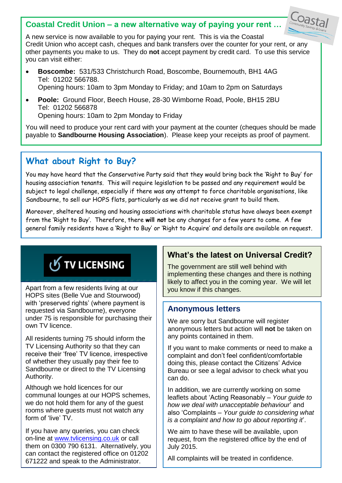#### **Coastal Credit Union – a new alternative way of paying your rent …**



- **Boscombe:** 531/533 Christchurch Road, Boscombe, Bournemouth, BH1 4AG Tel: 01202 566788. Opening hours: 10am to 3pm Monday to Friday; and 10am to 2pm on Saturdays
- **Poole:** Ground Floor, Beech House, 28-30 Wimborne Road, Poole, BH15 2BU Tel: 01202 566878 Opening hours: 10am to 2pm Monday to Friday

You will need to produce your rent card with your payment at the counter (cheques should be made payable to **Sandbourne Housing Association**). Please keep your receipts as proof of payment.

# **What about Right to Buy?**

You may have heard that the Conservative Party said that they would bring back the 'Right to Buy' for housing association tenants. This will require legislation to be passed and any requirement would be subject to legal challenge, especially if there was any attempt to force charitable organisations, like Sandbourne, to sell our HOPS flats, particularly as we did not receive grant to build them.

Moreover, sheltered housing and housing associations with charitable status have always been exempt from the 'Right to Buy'. Therefore, there **will not** be any changes for a few years to come. A few general family residents have a 'Right to Buy' or 'Right to Acquire' and details are available on request.

# **J** TV LICENSING

Apart from a few residents living at our HOPS sites (Belle Vue and Stourwood) with 'preserved rights' (where payment is requested via Sandbourne), everyone under 75 is responsible for purchasing their own TV licence.

All residents turning 75 should inform the TV Licensing Authority so that they can receive their 'free' TV licence, irrespective of whether they usually pay their fee to Sandbourne or direct to the TV Licensing Authority.

Although we hold licences for our communal lounges at our HOPS schemes, we do not hold them for any of the guest rooms where guests must not watch any form of 'live' TV.

If you have any queries, you can check on-line at [www.tvlicensing.co.uk](http://www.tvlicensing.co.uk/) or call them on 0300 790 6131. Alternatively, you can contact the registered office on 01202 671222 and speak to the Administrator.

## **What's the latest on Universal Credit?**

 $\text{Cost}_{\text{Commuty}}$ 

The government are still well behind with implementing these changes and there is nothing likely to affect you in the coming year. We will let you know if this changes.

#### **Anonymous letters**

We are sorry but Sandbourne will register anonymous letters but action will **not** be taken on any points contained in them.

If you want to make comments or need to make a complaint and don't feel confident/comfortable doing this, please contact the Citizens' Advice Bureau or see a legal advisor to check what you can do.

In addition, we are currently working on some leaflets about 'Acting Reasonably – *Your guide to how we deal with unacceptable behaviour*' and also 'Complaints – *Your guide to considering what is a complaint and how to go about reporting it*'.

We aim to have these will be available, upon request, from the registered office by the end of July 2015.

All complaints will be treated in confidence.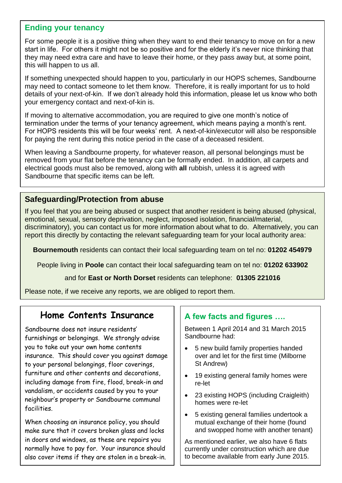#### **Ending your tenancy**

For some people it is a positive thing when they want to end their tenancy to move on for a new start in life. For others it might not be so positive and for the elderly it's never nice thinking that they may need extra care and have to leave their home, or they pass away but, at some point, this will happen to us all.

If something unexpected should happen to you, particularly in our HOPS schemes, Sandbourne may need to contact someone to let them know. Therefore, it is really important for us to hold details of your next-of-kin. If we don't already hold this information, please let us know who both your emergency contact and next-of-kin is.

If moving to alternative accommodation, you are required to give one month's notice of termination under the terms of your tenancy agreement, which means paying a month's rent. For HOPS residents this will be four weeks' rent. A next-of-kin/executor will also be responsible for paying the rent during this notice period in the case of a deceased resident.

When leaving a Sandbourne property, for whatever reason, all personal belongings must be removed from your flat before the tenancy can be formally ended. In addition, all carpets and electrical goods must also be removed, along with **all** rubbish, unless it is agreed with Sandbourne that specific items can be left.

#### **Safeguarding/Protection from abuse**

If you feel that you are being abused or suspect that another resident is being abused (physical, emotional, sexual, sensory deprivation, neglect, imposed isolation, financial/material, discriminatory), you can contact us for more information about what to do. Alternatively, you can report this directly by contacting the relevant safeguarding team for your local authority area:

**Bournemouth** residents can contact their local safeguarding team on tel no: **01202 454979**

People living in **Poole** can contact their local safeguarding team on tel no: **01202 633902**

and for **East or North Dorset** residents can telephone: **01305 221016**

Please note, if we receive any reports, we are obliged to report them.

# **Home Contents Insurance**

Sandbourne does not insure residents' furnishings or belongings. We strongly advise you to take out your own home contents insurance. This should cover you against damage to your personal belongings, floor coverings, furniture and other contents and decorations, including damage from fire, flood, break-in and vandalism, or accidents caused by you to your neighbour's property or Sandbourne communal facilities.

When choosing an insurance policy, you should make sure that it covers broken glass and locks in doors and windows, as these are repairs you normally have to pay for. Your insurance should also cover items if they are stolen in a break-in.

#### **A few facts and figures ….**

Between 1 April 2014 and 31 March 2015 Sandbourne had:

- 5 new build family properties handed over and let for the first time (Milborne St Andrew)
- 19 existing general family homes were re-let
- 23 existing HOPS (including Craigleith) homes were re-let
- 5 existing general families undertook a mutual exchange of their home (found and swopped home with another tenant)

As mentioned earlier, we also have 6 flats currently under construction which are due to become available from early June 2015.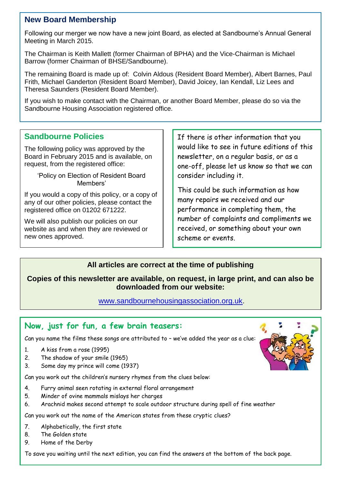#### **New Board Membership**

Following our merger we now have a new joint Board, as elected at Sandbourne's Annual General Meeting in March 2015.

The Chairman is Keith Mallett (former Chairman of BPHA) and the Vice-Chairman is Michael Barrow (former Chairman of BHSE/Sandbourne).

The remaining Board is made up of: Colvin Aldous (Resident Board Member), Albert Barnes, Paul Frith, Michael Ganderton (Resident Board Member), David Joicey, Ian Kendall, Liz Lees and Theresa Saunders (Resident Board Member).

If you wish to make contact with the Chairman, or another Board Member, please do so via the Sandbourne Housing Association registered office.

#### **Sandbourne Policies**

The following policy was approved by the Board in February 2015 and is available, on request, from the registered office:

> 'Policy on Election of Resident Board Members'

If you would a copy of this policy, or a copy of any of our other policies, please contact the registered office on 01202 671222.

We will also publish our policies on our website as and when they are reviewed or new ones approved.

If there is other information that you would like to see in future editions of this newsletter, on a regular basis, or as a one-off, please let us know so that we can consider including it.

This could be such information as how many repairs we received and our performance in completing them, the number of complaints and compliments we received, or something about your own scheme or events.

#### **All articles are correct at the time of publishing**

#### **Copies of this newsletter are available, on request, in large print, and can also be downloaded from our website:**

#### [www.sandbournehousingassociation.org.uk.](http://www.sandbournehousingassociation.org.uk/)

#### **Now, just for fun, a few brain teasers:**

Can you name the films these songs are attributed to – we've added the year as a clue:

- 1. A kiss from a rose (1995)
- 2. The shadow of your smile (1965)
- 3. Some day my prince will come (1937)

Can you work out the children's nursery rhymes from the clues below:

- 4. Furry animal seen rotating in external floral arrangement
- 5. Minder of ovine mammals mislays her charges
- 6. Arachnid makes second attempt to scale outdoor structure during spell of fine weather

Can you work out the name of the American states from these cryptic clues?

- 7. Alphabetically, the first state
- 8. The Golden state
- 9. Home of the Derby

To save you waiting until the next edition, you can find the answers at the bottom of the back page.

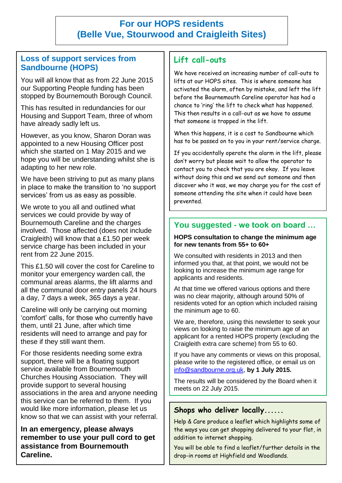# **For our HOPS residents (Belle Vue, Stourwood and Craigleith Sites)**

#### **Loss of support services from Sandbourne (HOPS)**

You will all know that as from 22 June 2015 our Supporting People funding has been stopped by Bournemouth Borough Council.

This has resulted in redundancies for our Housing and Support Team, three of whom have already sadly left us.

However, as you know, Sharon Doran was appointed to a new Housing Officer post which she started on 1 May 2015 and we hope you will be understanding whilst she is adapting to her new role.

We have been striving to put as many plans in place to make the transition to 'no support services' from us as easy as possible.

We wrote to you all and outlined what services we could provide by way of Bournemouth Careline and the charges involved. Those affected (does not include Craigleith) will know that a £1.50 per week service charge has been included in your rent from 22 June 2015.

This £1.50 will cover the cost for Careline to monitor your emergency warden call, the communal areas alarms, the lift alarms and all the communal door entry panels 24 hours a day, 7 days a week, 365 days a year.

Careline will only be carrying out morning 'comfort' calls, for those who currently have them, until 21 June, after which time residents will need to arrange and pay for these if they still want them.

For those residents needing some extra support, there will be a floating support service available from Bournemouth Churches Housing Association. They will provide support to several housing associations in the area and anyone needing this service can be referred to them. If you would like more information, please let us know so that we can assist with your referral.

**In an emergency, please always remember to use your pull cord to get assistance from Bournemouth Careline.**

#### **Lift call-outs**

We have received an increasing number of call-outs to lifts at our HOPS sites. This is where someone has activated the alarm, often by mistake, and left the lift before the Bournemouth Careline operator has had a chance to 'ring' the lift to check what has happened. This then results in a call-out as we have to assume that someone is trapped in the lift.

When this happens, it is a cost to Sandbourne which has to be passed on to you in your rent/service charge.

If you accidentally operate the alarm in the lift, please don't worry but please wait to allow the operator to contact you to check that you are okay. If you leave without doing this and we send out someone and then discover who it was, we may charge you for the cost of someone attending the site when it could have been prevented.

#### **You suggested - we took on board …**

#### **HOPS consultation to change the minimum age for new tenants from 55+ to 60+**

We consulted with residents in 2013 and then informed you that, at that point, we would not be looking to increase the minimum age range for applicants and residents.

At that time we offered various options and there was no clear majority, although around 50% of residents voted for an option which included raising the minimum age to 60.

We are, therefore, using this newsletter to seek your views on looking to raise the minimum age of an applicant for a rented HOPS property (excluding the Craigleith extra care scheme) from 55 to 60.

If you have any comments or views on this proposal, please write to the registered office, or email us on [info@sandbourne.org.uk](mailto:info@sandbourne.org.uk), **by 1 July 2015.** 

The results will be considered by the Board when it meets on 22 July 2015.

#### **Shops who deliver locally......**

Help & Care produce a leaflet which highlights some of the ways you can get shopping delivered to your flat, in addition to internet shopping.

You will be able to find a leaflet/further details in the drop-in rooms at Highfield and Woodlands.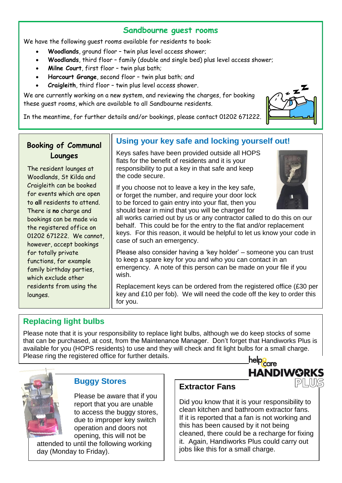#### **Sandbourne guest rooms**

We have the following quest rooms available for residents to book:

- **Woodlands**, ground floor twin plus level access shower;
- **Woodlands**, third floor family (double and single bed) plus level access shower;
- **Milne Court**, first floor twin plus bath;
- **Harcourt Grange**, second floor twin plus bath; and
- **Craigleith**, third floor twin plus level access shower.

We are currently working on a new system, and reviewing the charges, for booking these guest rooms, which are available to all Sandbourne residents.



In the meantime, for further details and/or bookings, please contact 01202 671222.

# **Booking of Communal Lounges**

The resident lounges at Woodlands, St Kilda and Craigleith can be booked for events which are open to **all** residents to attend. There is **no** charge and bookings can be made via the registered office on 01202 671222. We cannot, however, accept bookings for totally private functions, for example family birthday parties, which exclude other residents from using the lounges.

#### **Using your key safe and locking yourself out!**

Keys safes have been provided outside all HOPS flats for the benefit of residents and it is your responsibility to put a key in that safe and keep the code secure.

If you choose not to leave a key in the key safe, or forget the number, and require your door lock to be forced to gain entry into your flat, then you should bear in mind that you will be charged for



**HANDIWORKS** 

all works carried out by us or any contractor called to do this on our behalf. This could be for the entry to the flat and/or replacement keys. For this reason, it would be helpful to let us know your code in case of such an emergency.

Please also consider having a 'key holder' – someone you can trust to keep a spare key for you and who you can contact in an emergency. A note of this person can be made on your file if you wish.

Replacement keys can be ordered from the registered office (£30 per key and £10 per fob). We will need the code off the key to order this for you.

# **Replacing light bulbs**

Please note that it is your responsibility to replace light bulbs, although we do keep stocks of some that can be purchased, at cost, from the Maintenance Manager. Don't forget that Handiworks Plus is available for you (HOPS residents) to use and they will check and fit light bulbs for a small charge. Please ring the registered office for further details. help<mark>e</mark>are



#### **Buggy Stores**

Please be aware that if you report that you are unable to access the buggy stores, due to improper key switch operation and doors not opening, this will not be attended to until the following working day (Monday to Friday).

#### **Extractor Fans**

Did you know that it is your responsibility to clean kitchen and bathroom extractor fans. If it is reported that a fan is not working and this has been caused by it not being cleaned, there could be a recharge for fixing it. Again, Handiworks Plus could carry out jobs like this for a small charge.